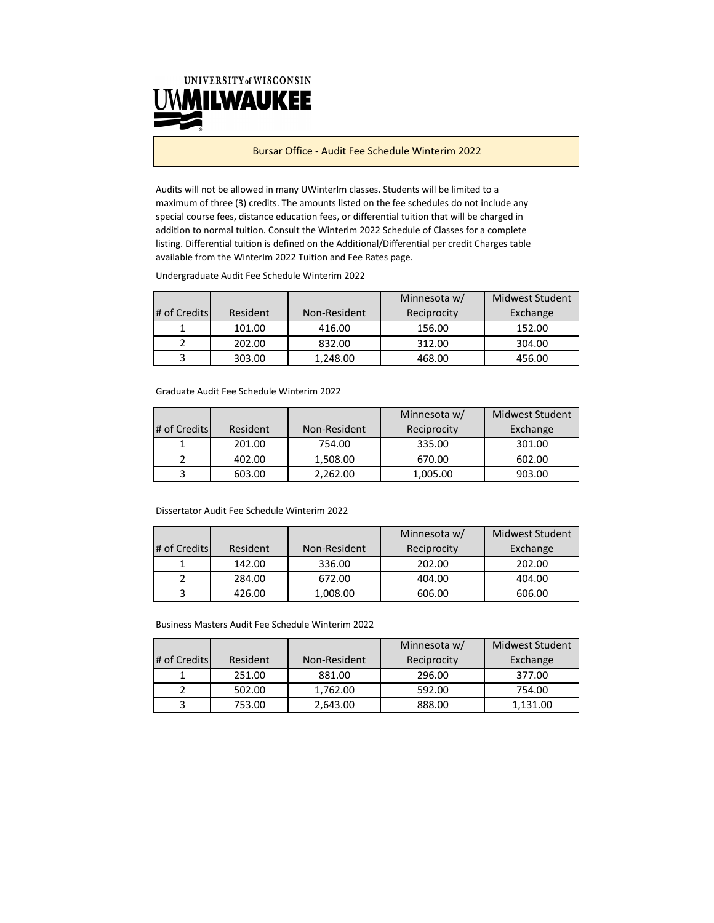

Bursar Office ‐ Audit Fee Schedule Winterim 2022

Audits will not be allowed in many UWinterIm classes. Students will be limited to a maximum of three (3) credits. The amounts listed on the fee schedules do not include any special course fees, distance education fees, or differential tuition that will be charged in addition to normal tuition. Consult the Winterim 2022 Schedule of Classes for a complete listing. Differential tuition is defined on the Additional/Differential per credit Charges table available from the WinterIm 2022 Tuition and Fee Rates page.

Undergraduate Audit Fee Schedule Winterim 2022

|              |          |              | Minnesota w/ | Midwest Student |
|--------------|----------|--------------|--------------|-----------------|
| # of Credits | Resident | Non-Resident | Reciprocity  | Exchange        |
|              | 101.00   | 416.00       | 156.00       | 152.00          |
|              | 202.00   | 832.00       | 312.00       | 304.00          |
|              | 303.00   | 1.248.00     | 468.00       | 456.00          |

Graduate Audit Fee Schedule Winterim 2022

|              |          |              | Minnesota w/ | Midwest Student |
|--------------|----------|--------------|--------------|-----------------|
| # of Credits | Resident | Non-Resident | Reciprocity  | Exchange        |
|              | 201.00   | 754.00       | 335.00       | 301.00          |
|              | 402.00   | 1,508.00     | 670.00       | 602.00          |
|              | 603.00   | 2,262.00     | 1,005.00     | 903.00          |

## Dissertator Audit Fee Schedule Winterim 2022

|              |          |              | Minnesota w/ | <b>Midwest Student</b> |
|--------------|----------|--------------|--------------|------------------------|
| # of Credits | Resident | Non-Resident | Reciprocity  | Exchange               |
|              | 142.00   | 336.00       | 202.00       | 202.00                 |
|              | 284.00   | 672.00       | 404.00       | 404.00                 |
|              | 426.00   | 1,008.00     | 606.00       | 606.00                 |

Business Masters Audit Fee Schedule Winterim 2022

|              |          |              | Minnesota w/ | Midwest Student |
|--------------|----------|--------------|--------------|-----------------|
| # of Credits | Resident | Non-Resident | Reciprocity  | Exchange        |
|              | 251.00   | 881.00       | 296.00       | 377.00          |
|              | 502.00   | 1,762.00     | 592.00       | 754.00          |
|              | 753.00   | 2.643.00     | 888.00       | 1.131.00        |